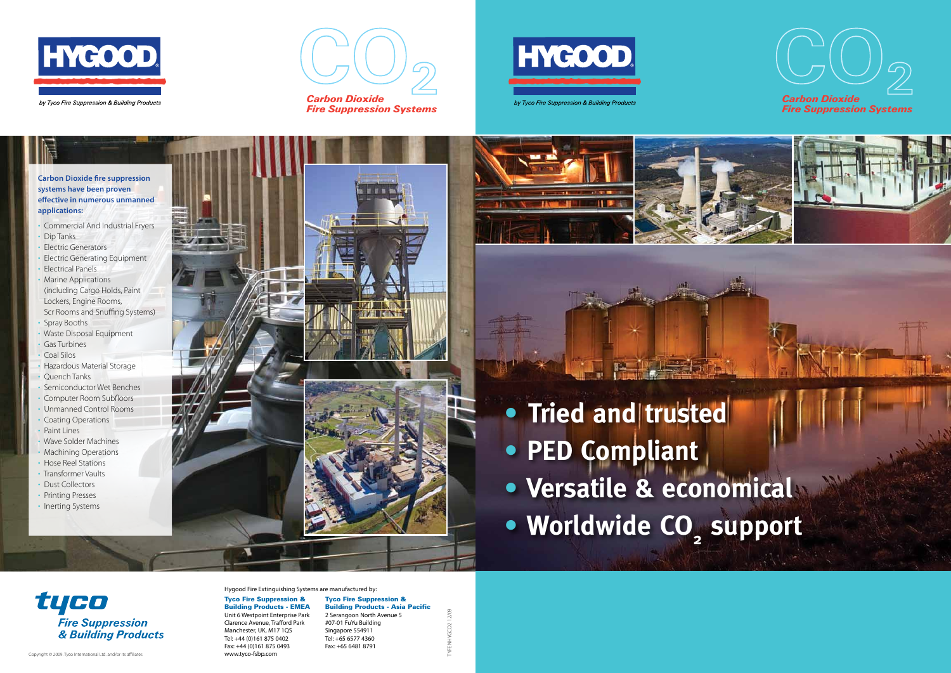Hygood Fire Extinguishing Systems are manufactured by:

Tyco Fire Suppression & Building Products - EMEA Unit 6 Westpoint Enterprise Park Clarence Avenue, Trafford Park Manchester, UK, M17 1QS Tel: +44 (0)161 875 0402 Fax: +44 (0)161 875 0493 www.tyco-fsbp.com

- **•** Tried and trusted
- **• PED Compliant**
- **• Versatile & economical**
- **• Worldwide CO 2**

tyco **Fire Suppression** & Building Products

Tyco Fire Suppression & Building Products - Asia Pacific 2 Serangoon North Avenue 5 #07-01 FuYu Building Singapore 554911 Tel: +65 6577 4360 Fax: +65 6481 8791

- Commercial And Industrial Fryers
- Dip Tanks
- Electric Generators
- Electric Generating Equipment
- Electrical Panels
- Marine Applications (including Cargo Holds, Paint Lockers, Engine Rooms, Scr Rooms and Snuffing Systems) • Spray Booths
- 
- Waste Disposal Equipment • Gas Turbines
- Coal Silos
- 
- Hazardous Material Storage • Quench Tanks
- Semiconductor Wet Benches
- Computer Room Subfloors
- Unmanned Control Rooms
- Coating Operations • Paint Lines
- Wave Solder Machines
- Machining Operations
- Hose Reel Stations
- Transformer Vaults
- Dust Collectors
- Printing Presses
- Inerting Systems





# **support**



Fire Suppression Systems







Fire Suppression Systems



TYFENHYGCO2 12/09